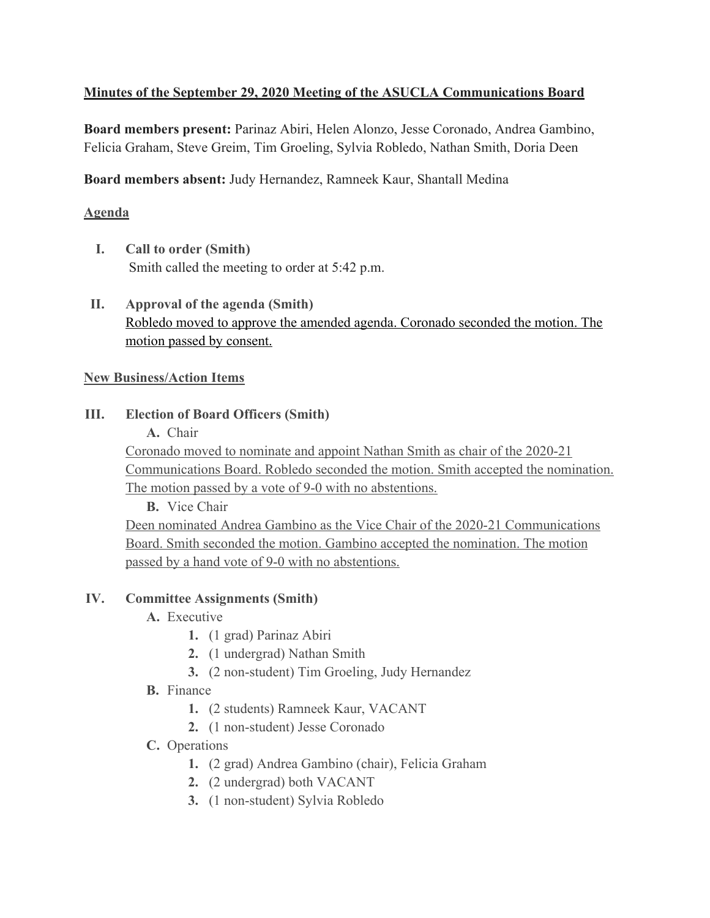## **Minutes of the September 29, 2020 Meeting of the ASUCLA Communications Board**

**Board members present:** Parinaz Abiri, Helen Alonzo, Jesse Coronado, Andrea Gambino, Felicia Graham, Steve Greim, Tim Groeling, Sylvia Robledo, Nathan Smith, Doria Deen

**Board members absent:** Judy Hernandez, Ramneek Kaur, Shantall Medina

### **Agenda**

- **I. Call to order (Smith)** Smith called the meeting to order at 5:42 p.m.
- **II. Approval of the agenda (Smith)** Robledo moved to approve the amended agenda. Coronado seconded the motion. The motion passed by consent.

#### **New Business/Action Items**

#### **III. Election of Board Officers (Smith)**

**A.** Chair

Coronado moved to nominate and appoint Nathan Smith as chair of the 2020-21 Communications Board. Robledo seconded the motion. Smith accepted the nomination. The motion passed by a vote of 9-0 with no abstentions.

**B.** Vice Chair

Deen nominated Andrea Gambino as the Vice Chair of the 2020-21 Communications Board. Smith seconded the motion. Gambino accepted the nomination. The motion passed by a hand vote of 9-0 with no abstentions.

## **IV. Committee Assignments (Smith)**

- **A.** Executive
	- **1.** (1 grad) Parinaz Abiri
	- **2.** (1 undergrad) Nathan Smith
	- **3.** (2 non-student) Tim Groeling, Judy Hernandez
- **B.** Finance
	- **1.** (2 students) Ramneek Kaur, VACANT
	- **2.** (1 non-student) Jesse Coronado
- **C.** Operations
	- **1.** (2 grad) Andrea Gambino (chair), Felicia Graham
	- **2.** (2 undergrad) both VACANT
	- **3.** (1 non-student) Sylvia Robledo